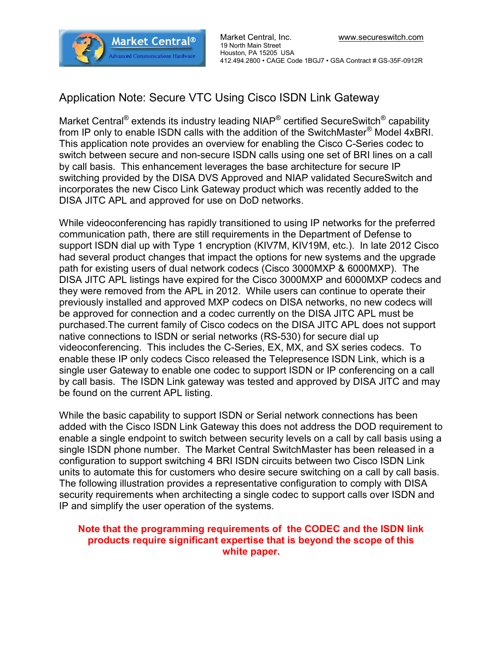

## Application Note: Secure VTC Using Cisco ISDN Link Gateway

Market Central $^\circledR$  extends its industry leading NIAP $^\circledR$  certified SecureSwitch $^\circledR$  capability from IP only to enable ISDN calls with the addition of the SwitchMaster $^\circ$  Model 4xBRI. This application note provides an overview for enabling the Cisco C-Series codec to switch between secure and non-secure ISDN calls using one set of BRI lines on a call by call basis. This enhancement leverages the base architecture for secure IP switching provided by the DISA DVS Approved and NIAP validated SecureSwitch and incorporates the new Cisco Link Gateway product which was recently added to the DISA JITC APL and approved for use on DoD networks.

While videoconferencing has rapidly transitioned to using IP networks for the preferred communication path, there are still requirements in the Department of Defense to support ISDN dial up with Type 1 encryption (KIV7M, KIV19M, etc.). In late 2012 Cisco had several product changes that impact the options for new systems and the upgrade path for existing users of dual network codecs (Cisco 3000MXP & 6000MXP). The DISA JITC APL listings have expired for the Cisco 3000MXP and 6000MXP codecs and they were removed from the APL in 2012. While users can continue to operate their previously installed and approved MXP codecs on DISA networks, no new codecs will be approved for connection and a codec currently on the DISA JITC APL must be purchased.The current family of Cisco codecs on the DISA JITC APL does not support native connections to ISDN or serial networks (RS-530) for secure dial up videoconferencing. This includes the C-Series, EX, MX, and SX series codecs. To enable these IP only codecs Cisco released the Telepresence ISDN Link, which is a single user Gateway to enable one codec to support ISDN or IP conferencing on a call by call basis. The ISDN Link gateway was tested and approved by DISA JITC and may be found on the current APL listing.

While the basic capability to support ISDN or Serial network connections has been added with the Cisco ISDN Link Gateway this does not address the DOD requirement to enable a single endpoint to switch between security levels on a call by call basis using a single ISDN phone number. The Market Central SwitchMaster has been released in a configuration to support switching 4 BRI ISDN circuits between two Cisco ISDN Link units to automate this for customers who desire secure switching on a call by call basis. The following illustration provides a representative configuration to comply with DISA security requirements when architecting a single codec to support calls over ISDN and IP and simplify the user operation of the systems.

## Note that the programming requirements of the CODEC and the ISDN link products require significant expertise that is beyond the scope of this white paper.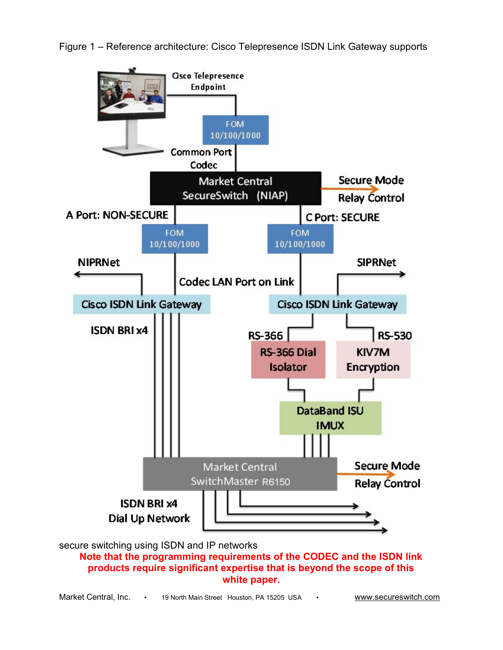

Figure 1 – Reference architecture: Cisco Telepresence ISDN Link Gateway supports

Market Central, Inc. • 19 North Main Street Houston, PA 15205 USA • www.secureswitch.com

white paper.